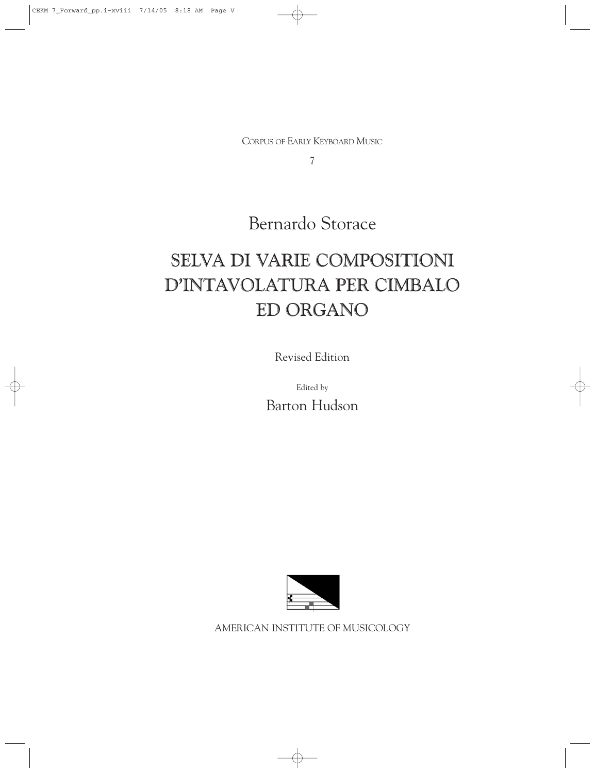CORPUS OF EARLY KEYBOARD MUSIC

7

Bernardo Storace

## SELVA DI VARIE COMPOSITIONI D'INTAVOLATURA PER CIMBALO ED ORGANO

Revised Edition

Edited by Barton Hudson



AMERICAN INSTITUTE OF MUSICOLOGY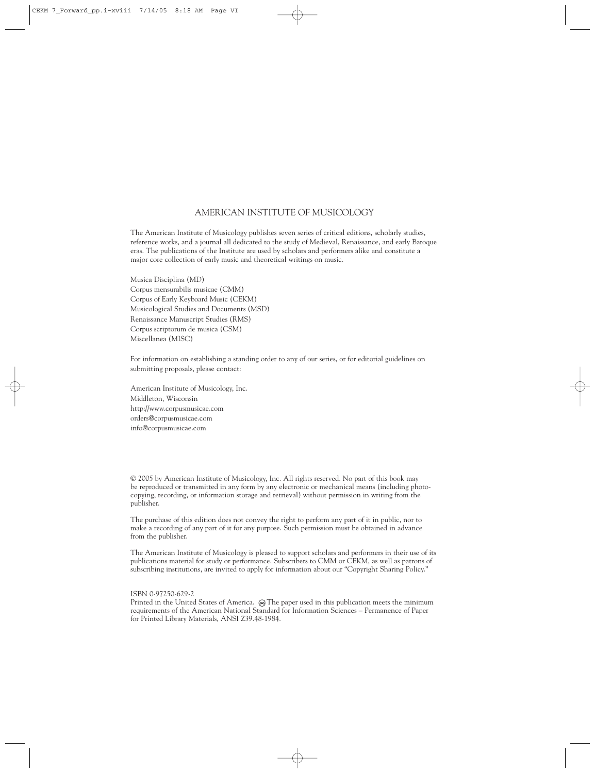## AMERICAN INSTITUTE OF MUSICOLOGY

The American Institute of Musicology publishes seven series of critical editions, scholarly studies, reference works, and a journal all dedicated to the study of Medieval, Renaissance, and early Baroque eras. The publications of the Institute are used by scholars and performers alike and constitute a major core collection of early music and theoretical writings on music.

Musica Disciplina (MD) Corpus mensurabilis musicae (CMM) Corpus of Early Keyboard Music (CEKM) Musicological Studies and Documents (MSD) Renaissance Manuscript Studies (RMS) Corpus scriptorum de musica (CSM) Miscellanea (MISC)

For information on establishing a standing order to any of our series, or for editorial guidelines on submitting proposals, please contact:

American Institute of Musicology, Inc. Middleton, Wisconsin http://www.corpusmusicae.com orders@corpusmusicae.com info@corpusmusicae.com

© 2005 by American Institute of Musicology, Inc. All rights reserved. No part of this book may be reproduced or transmitted in any form by any electronic or mechanical means (including photocopying, recording, or information storage and retrieval) without permission in writing from the publisher.

The purchase of this edition does not convey the right to perform any part of it in public, nor to make a recording of any part of it for any purpose. Such permission must be obtained in advance from the publisher.

The American Institute of Musicology is pleased to support scholars and performers in their use of its publications material for study or performance. Subscribers to CMM or CEKM, as well as patrons of subscribing institutions, are invited to apply for information about our "Copyright Sharing Policy."

ISBN 0-97250-629-2

Printed in the United States of America. @The paper used in this publication meets the minimum requirements of the American National Standard for Information Sciences – Permanence of Paper for Printed Library Materials, ANSI Z39.48-1984.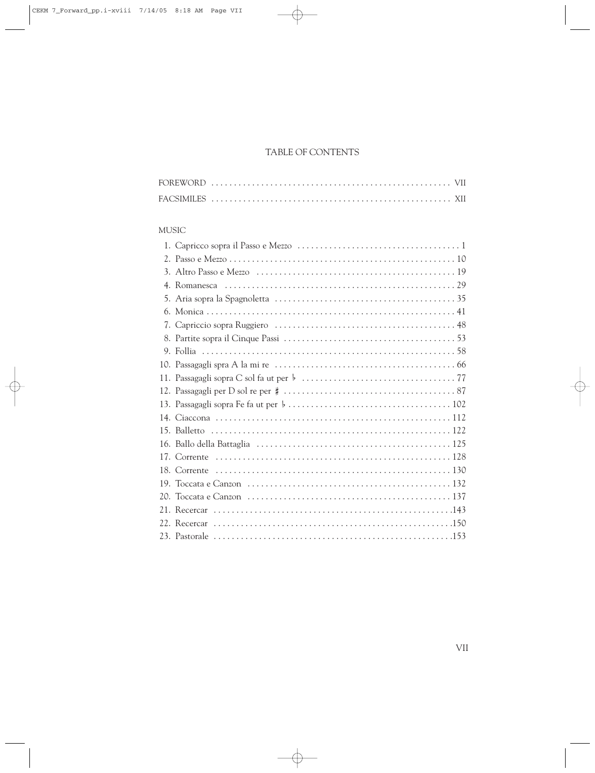## TABLE OF CONTENTS

## MUSIC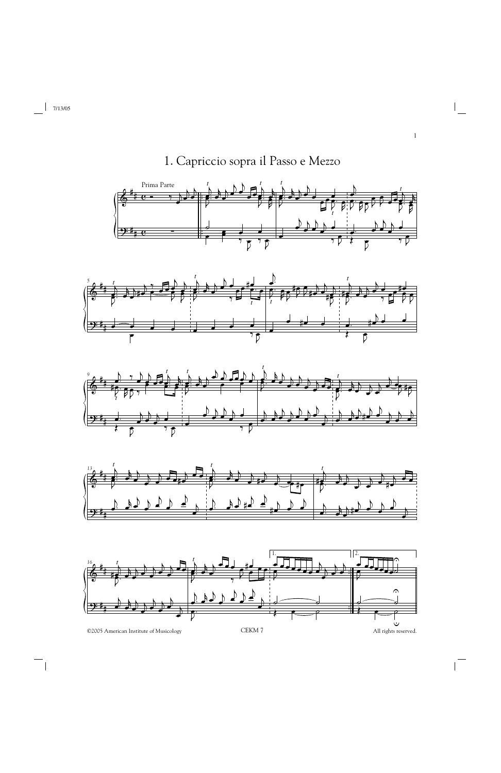1. Capriccio sopra il Passo e Mezzo











©2005 American Institute of Musicology